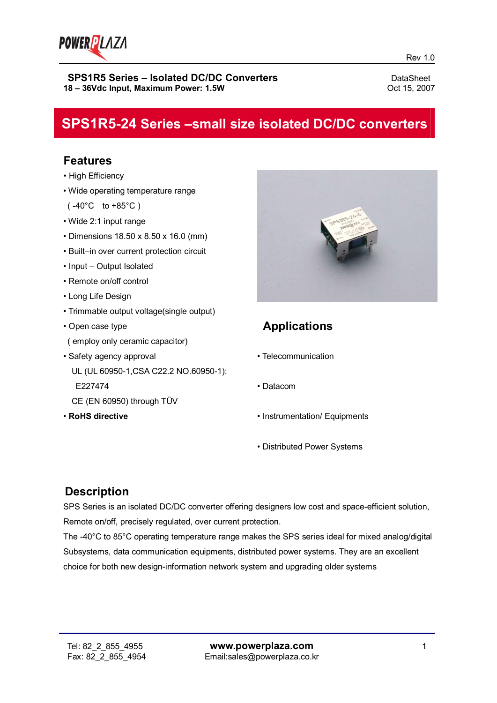

# **SPS1R5-24 Series –small size isolated DC/DC converters**

### **Features**

- High Efficiency
- Wide operating temperature range
- $(-40^{\circ}C \text{ to } +85^{\circ}C)$
- Wide 2:1 input range
- Dimensions 18.50 x 8.50 x 16.0 (mm)
- Built–in over current protection circuit
- Input Output Isolated
- Remote on/off control
- Long Life Design
- Trimmable output voltage(single output)
- Open case type ( employ only ceramic capacitor)
- Safety agency approval UL (UL 60950-1,CSA C22.2 NO.60950-1): E227474
	- CE (EN 60950) through TÜV
- **RoHS directive**



# **Applications**

- Telecommunication
- Datacom
- Instrumentation/ Equipments
- Distributed Power Systems

### **Description**

SPS Series is an isolated DC/DC converter offering designers low cost and space-efficient solution, Remote on/off, precisely regulated, over current protection.

The -40°C to 85°C operating temperature range makes the SPS series ideal for mixed analog/digital Subsystems, data communication equipments, distributed power systems. They are an excellent choice for both new design-information network system and upgrading older systems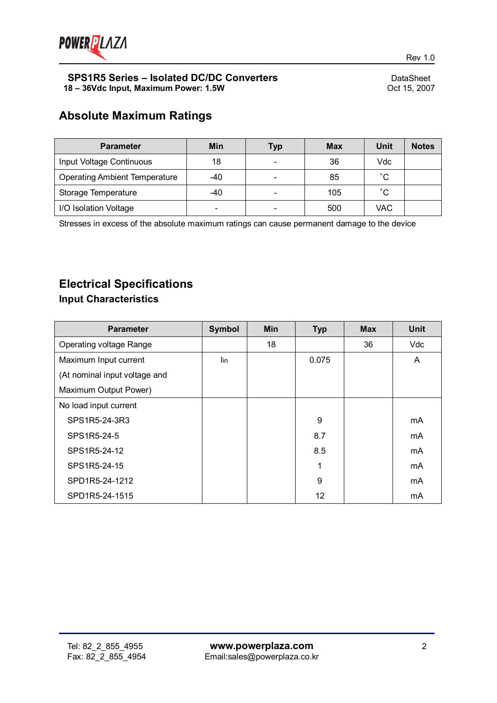

# **Absolute Maximum Ratings**

| <b>Parameter</b>                     | Min | <b>Typ</b> | <b>Max</b> | Unit         | <b>Notes</b> |
|--------------------------------------|-----|------------|------------|--------------|--------------|
| Input Voltage Continuous             | 18  | ۰          | 36         | Vdc          |              |
| <b>Operating Ambient Temperature</b> | -40 | -          | 85         | $^{\circ}$ C |              |
| Storage Temperature                  | -40 | ÷          | 105        | $^{\circ}$ C |              |
| I/O Isolation Voltage                |     |            | 500        | VAC          |              |

Stresses in excess of the absolute maximum ratings can cause permanent damage to the device

# **Electrical Specifications**

### **Input Characteristics**

| <b>Parameter</b>              | <b>Symbol</b> | <b>Min</b> | <b>Typ</b> | <b>Max</b> | <b>Unit</b> |
|-------------------------------|---------------|------------|------------|------------|-------------|
| Operating voltage Range       |               | 18         |            | 36         | Vdc         |
| Maximum Input current         | lin           |            | 0.075      |            | A           |
| (At nominal input voltage and |               |            |            |            |             |
| Maximum Output Power)         |               |            |            |            |             |
| No load input current         |               |            |            |            |             |
| SPS1R5-24-3R3                 |               |            | 9          |            | mA          |
| SPS1R5-24-5                   |               |            | 8.7        |            | mA          |
| SPS1R5-24-12                  |               |            | 8.5        |            | mA          |
| SPS1R5-24-15                  |               |            | 1          |            | mA          |
| SPD1R5-24-1212                |               |            | 9          |            | mA          |
| SPD1R5-24-1515                |               |            | 12         |            | mA          |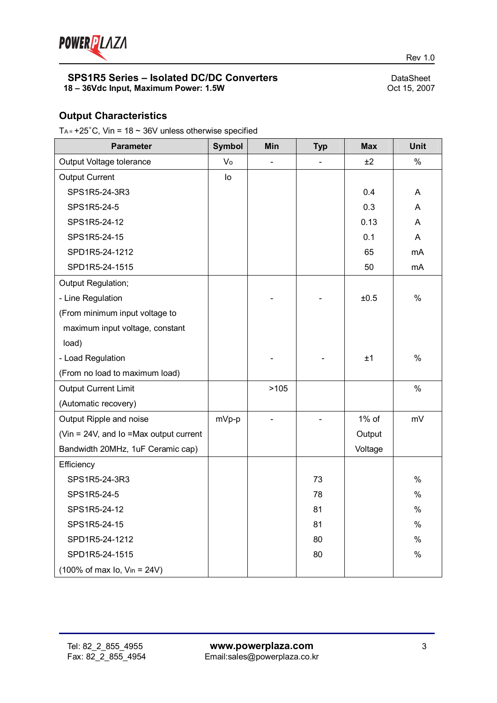

### **Output Characteristics**

T<sub>A</sub> =  $+25^{\circ}$ C, Vin = 18  $\sim$  36V unless otherwise specified

| <b>Parameter</b>                                            | <b>Symbol</b> | Min  | <b>Typ</b> | <b>Max</b> | Unit |
|-------------------------------------------------------------|---------------|------|------------|------------|------|
| Output Voltage tolerance                                    | Vo            |      |            | ±2         | $\%$ |
| <b>Output Current</b>                                       | lo            |      |            |            |      |
| SPS1R5-24-3R3                                               |               |      |            | 0.4        | A    |
| SPS1R5-24-5                                                 |               |      |            | 0.3        | A    |
| SPS1R5-24-12                                                |               |      |            | 0.13       | A    |
| SPS1R5-24-15                                                |               |      |            | 0.1        | A    |
| SPD1R5-24-1212                                              |               |      |            | 65         | mA   |
| SPD1R5-24-1515                                              |               |      |            | 50         | mA   |
| Output Regulation;                                          |               |      |            |            |      |
| - Line Regulation                                           |               |      |            | ±0.5       | $\%$ |
| (From minimum input voltage to                              |               |      |            |            |      |
| maximum input voltage, constant                             |               |      |            |            |      |
| load)                                                       |               |      |            |            |      |
| - Load Regulation                                           |               |      |            | ±1         | $\%$ |
| (From no load to maximum load)                              |               |      |            |            |      |
| <b>Output Current Limit</b>                                 |               | >105 |            |            | $\%$ |
| (Automatic recovery)                                        |               |      |            |            |      |
| Output Ripple and noise                                     | mVp-p         |      |            | 1% of      | mV   |
| (Vin = 24V, and Io = Max output current                     |               |      |            | Output     |      |
| Bandwidth 20MHz, 1uF Ceramic cap)                           |               |      |            | Voltage    |      |
| Efficiency                                                  |               |      |            |            |      |
| SPS1R5-24-3R3                                               |               |      | 73         |            | $\%$ |
| SPS1R5-24-5                                                 |               |      | 78         |            | $\%$ |
| SPS1R5-24-12                                                |               |      | 81         |            | $\%$ |
| SPS1R5-24-15                                                |               |      | 81         |            | $\%$ |
| SPD1R5-24-1212                                              |               |      | 80         |            | $\%$ |
| SPD1R5-24-1515                                              |               |      | 80         |            | $\%$ |
| $(100\% \text{ of max } I_0, \text{ V}_{in} = 24 \text{V})$ |               |      |            |            |      |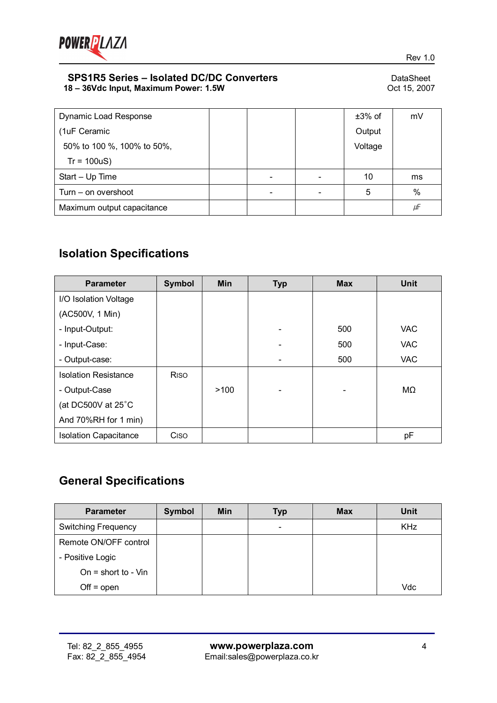

| <b>Dynamic Load Response</b> |  | $±3\%$ of | mV   |
|------------------------------|--|-----------|------|
| (1uF Ceramic                 |  | Output    |      |
| 50% to 100 %, 100% to 50%,   |  | Voltage   |      |
| $Tr = 100uS$                 |  |           |      |
| Start - Up Time              |  | 10        | ms   |
| Turn – on overshoot          |  | 5         | $\%$ |
| Maximum output capacitance   |  |           | μF   |

# **Isolation Specifications**

| <b>Parameter</b>             | <b>Symbol</b>           | <b>Min</b> | <b>Typ</b> | <b>Max</b> | <b>Unit</b> |
|------------------------------|-------------------------|------------|------------|------------|-------------|
| I/O Isolation Voltage        |                         |            |            |            |             |
| (AC500V, 1 Min)              |                         |            |            |            |             |
| - Input-Output:              |                         |            |            | 500        | <b>VAC</b>  |
| - Input-Case:                |                         |            |            | 500        | <b>VAC</b>  |
| - Output-case:               |                         |            |            | 500        | <b>VAC</b>  |
| <b>Isolation Resistance</b>  | <b>R</b> <sub>iso</sub> |            |            |            |             |
| - Output-Case                |                         | >100       |            |            | MΩ          |
| (at DC500V at 25°C           |                         |            |            |            |             |
| And 70%RH for 1 min)         |                         |            |            |            |             |
| <b>Isolation Capacitance</b> | Ciso                    |            |            |            | pF          |

# **General Specifications**

| <b>Parameter</b>           | Symbol | Min | <b>Typ</b>               | <b>Max</b> | <b>Unit</b> |
|----------------------------|--------|-----|--------------------------|------------|-------------|
| <b>Switching Frequency</b> |        |     | $\overline{\phantom{a}}$ |            | <b>KHz</b>  |
| Remote ON/OFF control      |        |     |                          |            |             |
| - Positive Logic           |        |     |                          |            |             |
| On = short to - $V$ in     |        |     |                          |            |             |
| $Off = open$               |        |     |                          |            | Vdc         |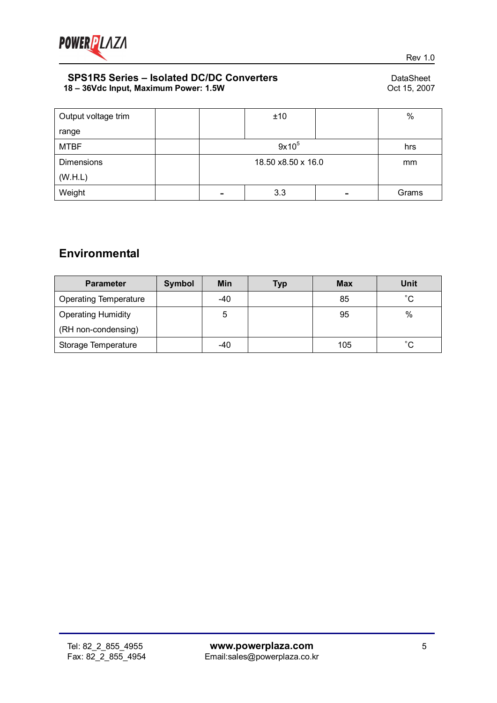

| Output voltage trim |                          | ±10 |  | $\%$  |
|---------------------|--------------------------|-----|--|-------|
| range               |                          |     |  |       |
| <b>MTBF</b>         | $9x10^5$                 |     |  | hrs   |
| <b>Dimensions</b>   | 18.50 x8.50 x 16.0       |     |  | mm    |
| (W.H.L)             |                          |     |  |       |
| Weight              | $\overline{\phantom{a}}$ | 3.3 |  | Grams |

# **Environmental**

| <b>Parameter</b>             | <b>Symbol</b> | Min   | Typ | <b>Max</b> | Unit         |
|------------------------------|---------------|-------|-----|------------|--------------|
| <b>Operating Temperature</b> |               | $-40$ |     | 85         | $^{\circ}$ C |
| <b>Operating Humidity</b>    |               | 5     |     | 95         | %            |
| (RH non-condensing)          |               |       |     |            |              |
| Storage Temperature          |               | $-40$ |     | 105        | $^{\circ}$ C |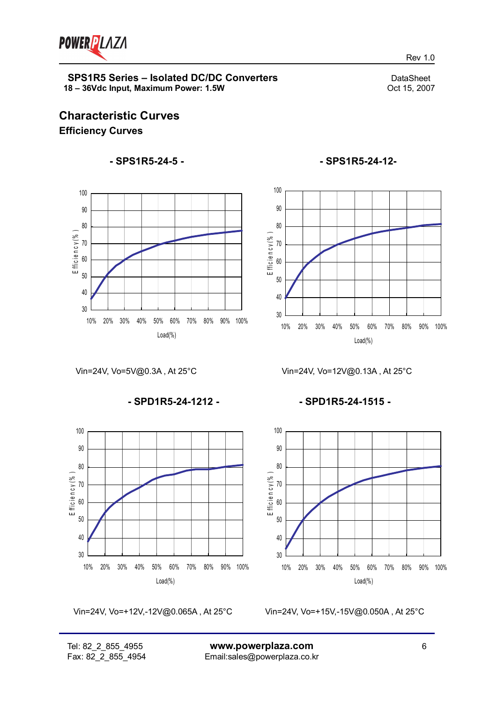

Rev 1.0

### **Characteristic Curves Efficiency Curves**

### **- SPS1R5-24-5 -**



Vin=24V, Vo=5V@0.3A , At 25°C

**- SPD1R5-24-1212 -**



Vin=24V, Vo=+12V,-12V@0.065A , At 25°C

Vin=24V, Vo=+15V,-15V@0.050A , At 25°C

### **- SPS1R5-24-12-**



Vin=24V, Vo=12V@0.13A , At 25°C

**- SPD1R5-24-1515 -**

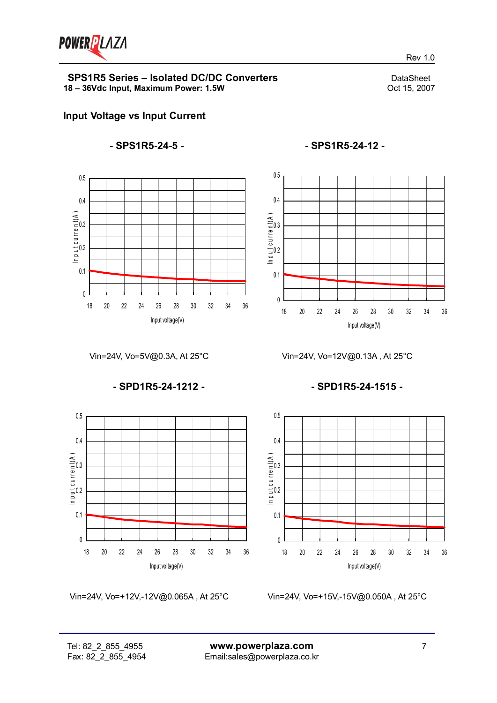

Rev 1.0

### **Input Voltage vs Input Current**

#### **- SPS1R5-24-5 -**



**- SPS1R5-24-12 -**



Vin=24V, Vo=5V@0.3A, At 25°C

**- SPD1R5-24-1212 -**



Vin=24V, Vo=+12V,-12V@0.065A , At 25°C

Vin=24V, Vo=12V@0.13A , At 25°C

**- SPD1R5-24-1515 -**



Vin=24V, Vo=+15V,-15V@0.050A , At 25°C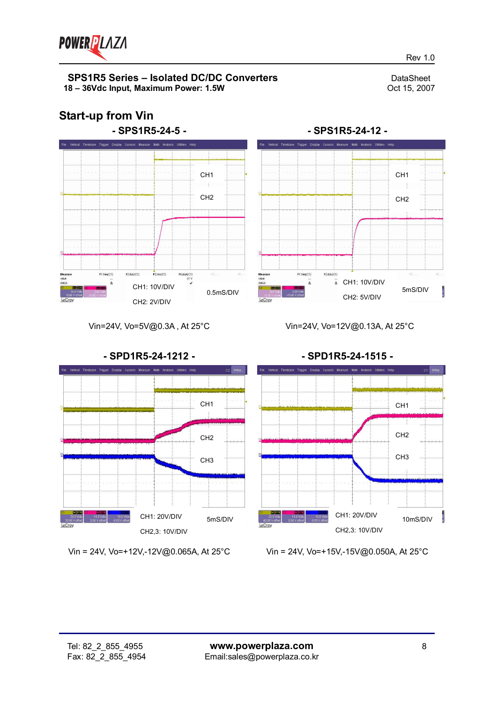

Rev 1.0

# **Start-up from Vin**





#### Vin=24V, Vo=5V@0.3A , At 25°C





Vin = 24V, Vo=+12V,-12V@0.065A, At 25°C

Vin = 24V, Vo=+15V,-15V@0.050A, At 25°C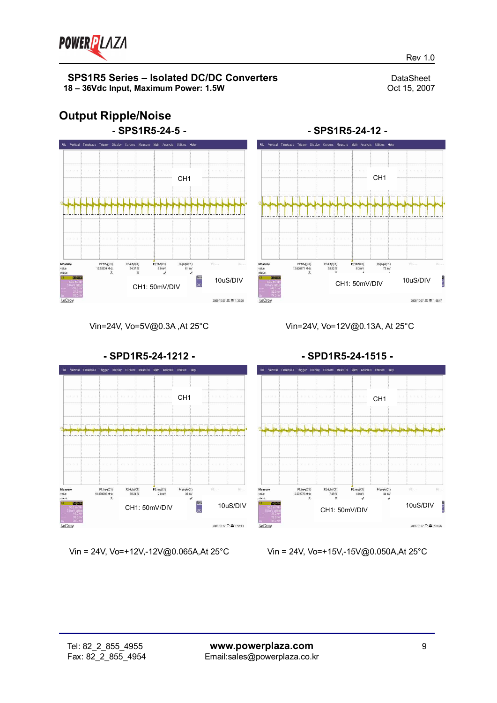

Rev 1.0

## **Output Ripple/Noise**



CH1 <del>| | | | | | | | | | |</del> CH1 P1:freq(C1)<br>12.626171 MHz P2 duty(C1)<br>55.92 %  $rms(C1)$ <br>6.3 mV P4:pkpk(C1)<br>73 mV 10uS/DIV CH1: 50mV/DIV  $2006-10-27 \n\mathrel{\mathop =}\nolimits 1.48.47$ LeCroy

**- SPS1R5-24-12 -**

Cursors Measure Math Analysis Utilities

Vin=24V, Vo=5V@0.3A ,At 25°C

Vin=24V, Vo=12V@0.13A, At 25°C



Vin = 24V, Vo=+12V,-12V@0.065A,At 25°C

Vin = 24V, Vo=+15V,-15V@0.050A,At 25°C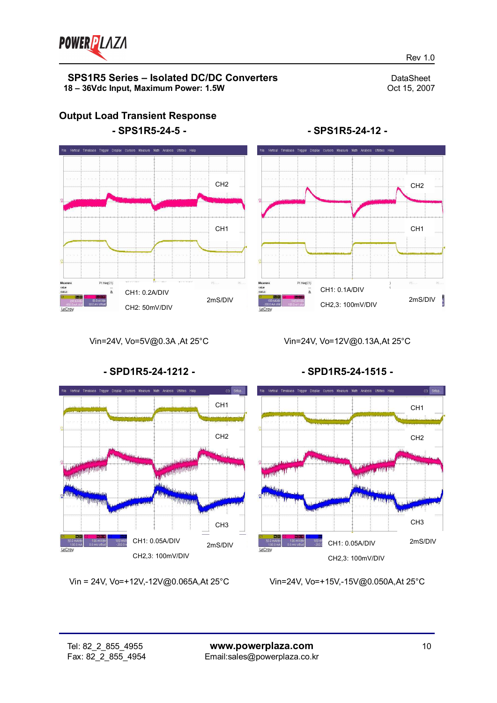

Rev 1.0



**Output Load Transient Response**



**- SPS1R5-24-12 -**

Vin=24V, Vo=5V@0.3A ,At 25°C

Vin=24V, Vo=12V@0.13A,At 25°C



Vin = 24V, Vo=+12V,-12V@0.065A,At 25°C

**- SPD1R5-24-1515 -**



Vin=24V, Vo=+15V,-15V@0.050A,At 25°C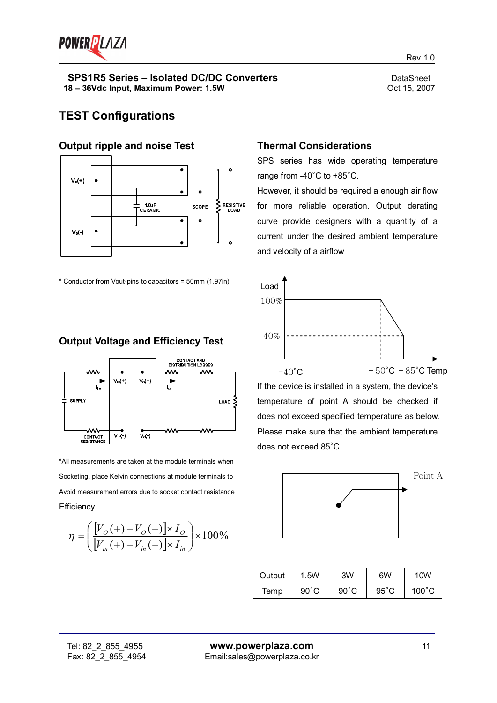

### **TEST Configurations**

#### **Output ripple and noise Test**



\* Conductor from Vout-pins to capacitors = 50mm (1.97in)

### **Output Voltage and Efficiency Test**



\*All measurements are taken at the module terminals when Socketing, place Kelvin connections at module terminals to Avoid measurement errors due to socket contact resistance **Efficiency** 

$$
\eta = \left(\frac{[V_{o}(+)-V_{o}(-)] \times I_{o}}{[V_{in}(+)-V_{in}(-)] \times I_{in}}\right) \times 100\%
$$

**Thermal Considerations**

SPS series has wide operating temperature range from -40°C to +85°C.

However, it should be required a enough air flow for more reliable operation. Output derating curve provide designers with a quantity of a current under the desired ambient temperature and velocity of a airflow



If the device is installed in a system, the device's temperature of point A should be checked if does not exceed specified temperature as below. Please make sure that the ambient temperature does not exceed 85°C.



| Output | 1.5W           | 3W             | 6W             | 10W             |
|--------|----------------|----------------|----------------|-----------------|
| Temp   | $90^{\circ}$ C | $90^{\circ}$ C | $95^{\circ}$ C | $100^{\circ}$ C |

Rev 1.0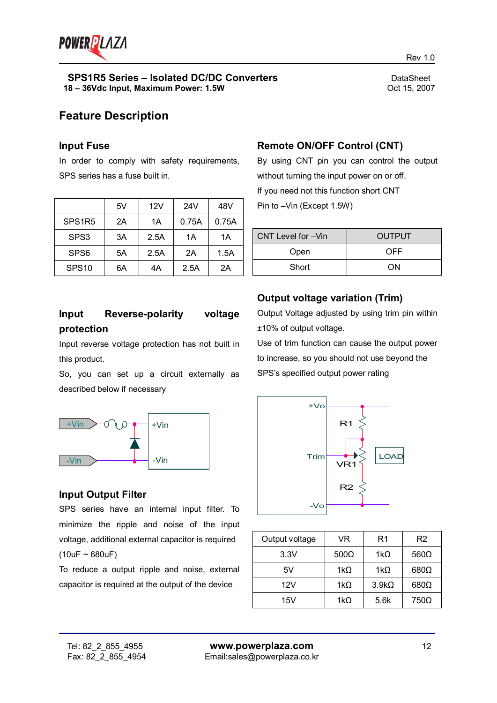

Rev 1.0

### **Feature Description**

#### **Input Fuse**

In order to comply with safety requirements, SPS series has a fuse built in.

|                    | 5V | 12V  | 24V   | 48V   |
|--------------------|----|------|-------|-------|
| SPS <sub>1R5</sub> | 2A | 1A   | 0.75A | 0.75A |
| SPS3               | 3A | 2.5A | 1А    | 1Α    |
| SPS <sub>6</sub>   | 5A | 2.5A | 2A    | 1.5A  |
| SPS <sub>10</sub>  | 6A | 4A   | 2.5A  | 2A    |

### **Remote ON/OFF Control (CNT)**

By using CNT pin you can control the output without turning the input power on or off. If you need not this function short CNT Pin to –Vin (Except 1.5W)

| CNT Level for -Vin | <b>OUTPUT</b> |
|--------------------|---------------|
| Open               | OFF           |
| Short              | ΩN            |

### **Input Reverse-polarity voltage protection**

Input reverse voltage protection has not built in this product.

So, you can set up a circuit externally as described below if necessary



### **Input Output Filter**

SPS series have an internal input filter. To minimize the ripple and noise of the input voltage, additional external capacitor is required  $(10uF - 680uF)$ 

To reduce a output ripple and noise, external capacitor is required at the output of the device

### **Output voltage variation (Trim)**

Output Voltage adjusted by using trim pin within ±10% of output voltage.

Use of trim function can cause the output power to increase, so you should not use beyond the SPS's specified output power rating



| Output voltage | VR          | R1           | R2          |
|----------------|-------------|--------------|-------------|
| 3.3V           | $500\Omega$ | 1k $\Omega$  | $560\Omega$ |
| 5V             | 1k $\Omega$ | 1kO          | $680\Omega$ |
| 12V            | 1k $\Omega$ | $3.9k\Omega$ | $680\Omega$ |
| 15V            | 1k $\Omega$ | 5.6k         | $750\Omega$ |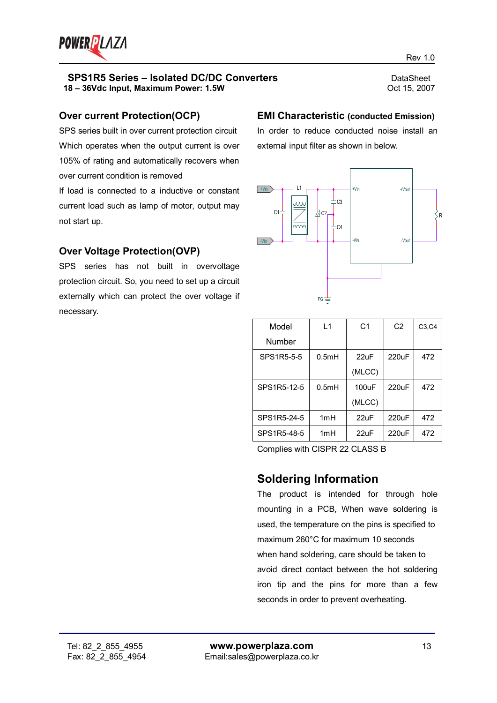

### **Over current Protection(OCP)**

SPS series built in over current protection circuit Which operates when the output current is over 105% of rating and automatically recovers when over current condition is removed

If load is connected to a inductive or constant current load such as lamp of motor, output may not start up.

### **Over Voltage Protection(OVP)**

SPS series has not built in overvoltage protection circuit. So, you need to set up a circuit externally which can protect the over voltage if necessary.

### **EMI Characteristic (conducted Emission)**

In order to reduce conducted noise install an external input filter as shown in below.



| Model       | $\overline{11}$ | C <sub>1</sub> | C <sub>2</sub> | C3, C4 |
|-------------|-----------------|----------------|----------------|--------|
| Number      |                 |                |                |        |
| SPS1R5-5-5  | 0.5mH           | 22uF           | 220uF          | 472    |
|             |                 | (MLCC)         |                |        |
| SPS1R5-12-5 | 0.5mH           | 100uF          | 220uF          | 472    |
|             |                 | (MLCC)         |                |        |
| SPS1R5-24-5 | 1mH             | $22$ uF        | $220$ uF       | 472    |
| SPS1R5-48-5 | 1mH             | 22uF           | 220uF          | 472    |

Complies with CISPR 22 CLASS B

### **Soldering Information**

The product is intended for through hole mounting in a PCB, When wave soldering is used, the temperature on the pins is specified to maximum 260°C for maximum 10 seconds when hand soldering, care should be taken to avoid direct contact between the hot soldering iron tip and the pins for more than a few seconds in order to prevent overheating.

Rev 1.0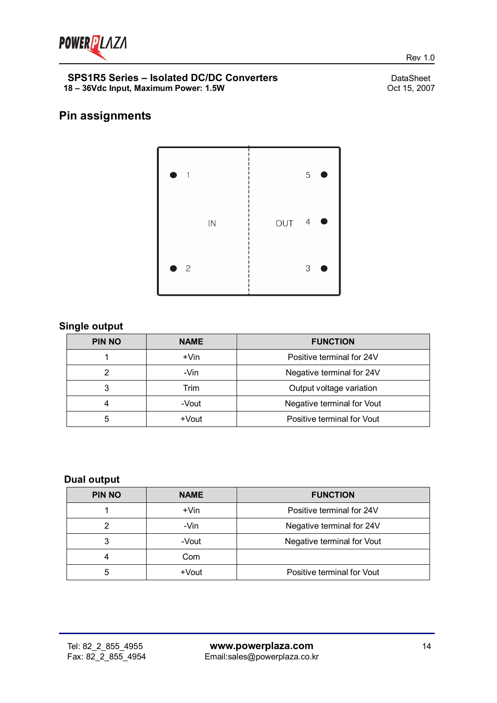

Rev 1.0

# **Pin assignments**



### **Single output**

| <b>PIN NO</b> | <b>NAME</b> | <b>FUNCTION</b>            |  |  |
|---------------|-------------|----------------------------|--|--|
|               | $+V$ in     | Positive terminal for 24V  |  |  |
| っ             | -Vin        | Negative terminal for 24V  |  |  |
| 3             | Trim        | Output voltage variation   |  |  |
| 4             | -Vout       | Negative terminal for Vout |  |  |
| 5             | +Vout       | Positive terminal for Vout |  |  |

### **Dual output**

| <b>PIN NO</b> | <b>NAME</b> | <b>FUNCTION</b>            |  |  |
|---------------|-------------|----------------------------|--|--|
|               | $+V$ in     | Positive terminal for 24V  |  |  |
|               | -Vin        | Negative terminal for 24V  |  |  |
| 3             | -Vout       | Negative terminal for Vout |  |  |
|               | Com         |                            |  |  |
| 5             | +Vout       | Positive terminal for Vout |  |  |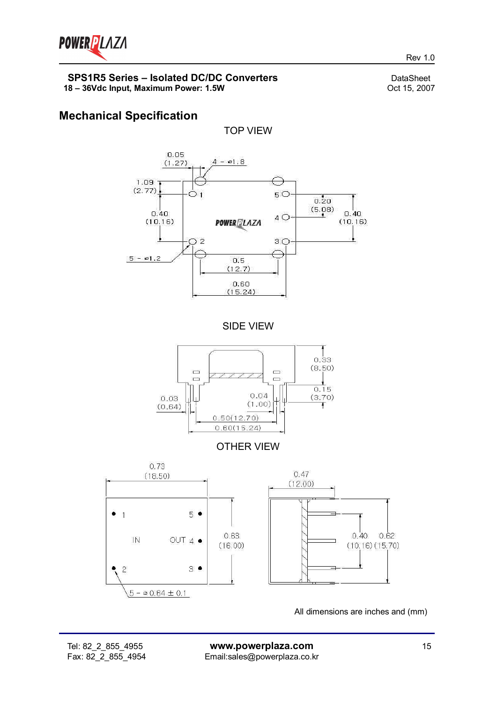

Rev 1.0

## **Mechanical Specification**

TOP VIEW



SIDE VIEW



OTHER VIEW



All dimensions are inches and (mm)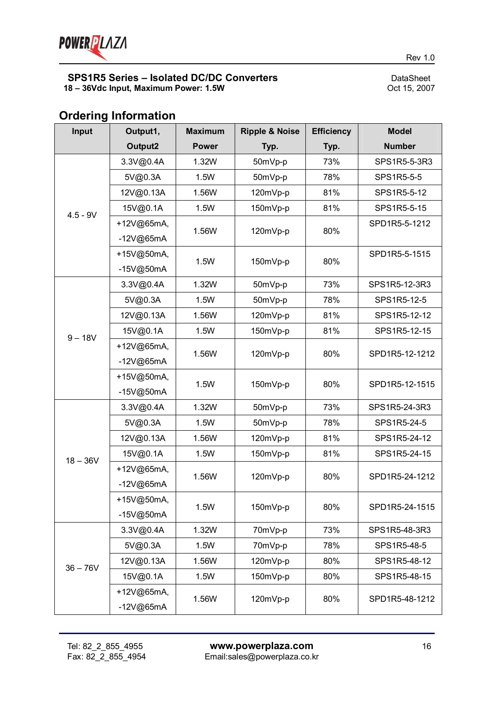

#### **Input Output1, Output2 Maximum Power Ripple & Noise Typ. Efficiency Typ. Model Number** 3.3V@0.4A | 1.32W | 50mVp-p | 73% | SPS1R5-5-3R3 5V@0.3A | 1.5W | 50mVp-p | 78% | SPS1R5-5-5 12V@0.13A | 1.56W | 120mVp-p | 81% | SPS1R5-5-12 15V@0.1A | 1.5W | 150mVp-p | 81% | SPS1R5-5-15 +12V@65mA, -12V@65mA 1.56W |  $120mVp-p$  | 80% SPD1R5-5-1212 4.5 - 9V +15V@50mA, -15V@50mA  $1.5W$  |  $150mVp-p$  |  $80\%$ SPD1R5-5-1515 3.3V@0.4A 1.32W 50mVp-p 73% SPS1R5-12-3R3 5V@0.3A 1.5W 50mVp-p 78% SPS1R5-12-5 12V@0.13A | 1.56W | 120mVp-p | 81% | SPS1R5-12-12 15V@0.1A | 1.5W | 150mVp-p | 81% | SPS1R5-12-15 +12V@65mA, -12V@65mA 1.56W | 120mVp-p | 80% | SPD1R5-12-1212  $9 - 18V$ +15V@50mA, -15V@50mA 1.5W | 150mVp-p | 80% | SPD1R5-12-1515 3.3V@0.4A 1.32W 50mVp-p 73% SPS1R5-24-3R3 5V@0.3A | 1.5W | 50mVp-p | 78% | SPS1R5-24-5 12V@0.13A | 1.56W | 120mVp-p | 81% | SPS1R5-24-12 15V@0.1A | 1.5W | 150mVp-p | 81% | SPS1R5-24-15 +12V@65mA, -12V@65mA 1.56W | 120mVp-p | 80% | SPD1R5-24-1212  $18 - 36V$ +15V@50mA, -15V@50mA 1.5W | 150mVp-p | 80% | SPD1R5-24-1515 3.3V@0.4A 1.32W 70mVp-p 73% SPS1R5-48-3R3 5V@0.3A 1.5W 70mVp-p 78% SPS1R5-48-5 12V@0.13A 1.56W 120mVp-p 80% SPS1R5-48-12 15V@0.1A | 1.5W | 150mVp-p | 80% | SPS1R5-48-15  $36 - 76V$ +12V@65mA, 1.56W | 120mVp-p | 80% | SPD1R5-48-1212

-12V@65mA